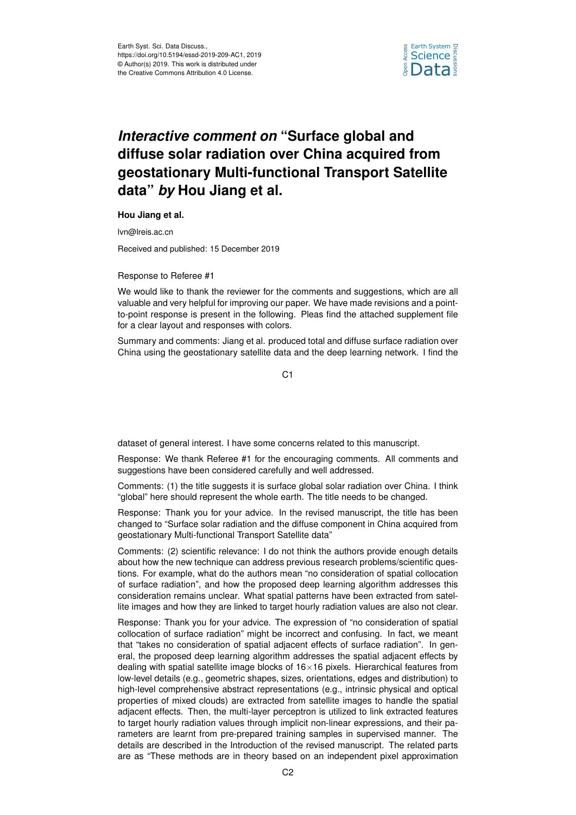

## *Interactive comment on* **"Surface global and diffuse solar radiation over China acquired from geostationary Multi-functional Transport Satellite data"** *by* **Hou Jiang et al.**

**Hou Jiang et al.**

lvn@lreis.ac.cn

Received and published: 15 December 2019

Response to Referee #1

We would like to thank the reviewer for the comments and suggestions, which are all valuable and very helpful for improving our paper. We have made revisions and a pointto-point response is present in the following. Pleas find the attached supplement file for a clear layout and responses with colors.

Summary and comments: Jiang et al. produced total and diffuse surface radiation over China using the geostationary satellite data and the deep learning network. I find the

 $C<sub>1</sub>$ 

dataset of general interest. I have some concerns related to this manuscript.

Response: We thank Referee #1 for the encouraging comments. All comments and suggestions have been considered carefully and well addressed.

Comments: (1) the title suggests it is surface global solar radiation over China. I think "global" here should represent the whole earth. The title needs to be changed.

Response: Thank you for your advice. In the revised manuscript, the title has been changed to "Surface solar radiation and the diffuse component in China acquired from geostationary Multi-functional Transport Satellite data"

Comments: (2) scientific relevance: I do not think the authors provide enough details about how the new technique can address previous research problems/scientific questions. For example, what do the authors mean "no consideration of spatial collocation of surface radiation", and how the proposed deep learning algorithm addresses this consideration remains unclear. What spatial patterns have been extracted from satellite images and how they are linked to target hourly radiation values are also not clear.

Response: Thank you for your advice. The expression of "no consideration of spatial collocation of surface radiation" might be incorrect and confusing. In fact, we meant that "takes no consideration of spatial adjacent effects of surface radiation". In general, the proposed deep learning algorithm addresses the spatial adjacent effects by dealing with spatial satellite image blocks of  $16\times16$  pixels. Hierarchical features from low-level details (e.g., geometric shapes, sizes, orientations, edges and distribution) to high-level comprehensive abstract representations (e.g., intrinsic physical and optical properties of mixed clouds) are extracted from satellite images to handle the spatial adjacent effects. Then, the multi-layer perceptron is utilized to link extracted features to target hourly radiation values through implicit non-linear expressions, and their parameters are learnt from pre-prepared training samples in supervised manner. The details are described in the Introduction of the revised manuscript. The related parts are as "These methods are in theory based on an independent pixel approximation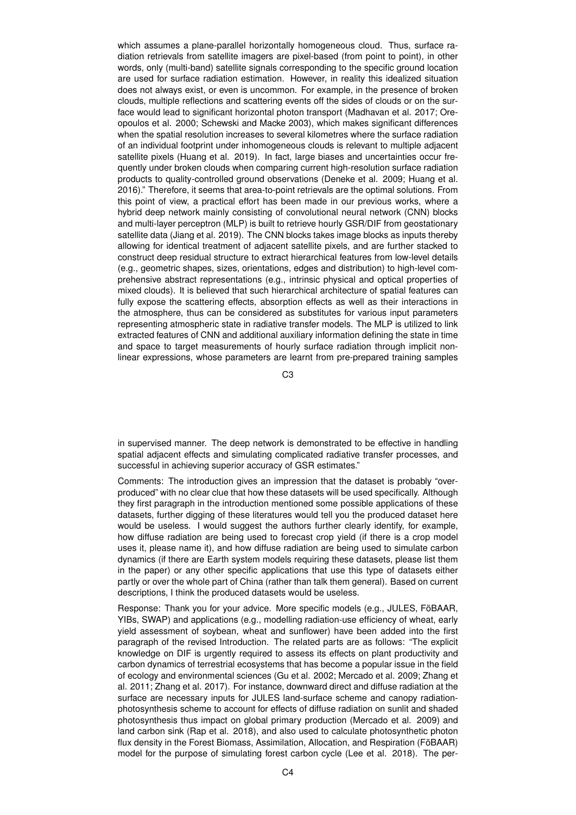which assumes a plane-parallel horizontally homogeneous cloud. Thus, surface radiation retrievals from satellite imagers are pixel-based (from point to point), in other words, only (multi-band) satellite signals corresponding to the specific ground location are used for surface radiation estimation. However, in reality this idealized situation does not always exist, or even is uncommon. For example, in the presence of broken clouds, multiple reflections and scattering events off the sides of clouds or on the surface would lead to significant horizontal photon transport (Madhavan et al. 2017; Oreopoulos et al. 2000; Schewski and Macke 2003), which makes significant differences when the spatial resolution increases to several kilometres where the surface radiation of an individual footprint under inhomogeneous clouds is relevant to multiple adjacent satellite pixels (Huang et al. 2019). In fact, large biases and uncertainties occur frequently under broken clouds when comparing current high-resolution surface radiation products to quality-controlled ground observations (Deneke et al. 2009; Huang et al. 2016)." Therefore, it seems that area-to-point retrievals are the optimal solutions. From this point of view, a practical effort has been made in our previous works, where a hybrid deep network mainly consisting of convolutional neural network (CNN) blocks and multi-layer perceptron (MLP) is built to retrieve hourly GSR/DIF from geostationary satellite data (Jiang et al. 2019). The CNN blocks takes image blocks as inputs thereby allowing for identical treatment of adjacent satellite pixels, and are further stacked to construct deep residual structure to extract hierarchical features from low-level details (e.g., geometric shapes, sizes, orientations, edges and distribution) to high-level comprehensive abstract representations (e.g., intrinsic physical and optical properties of mixed clouds). It is believed that such hierarchical architecture of spatial features can fully expose the scattering effects, absorption effects as well as their interactions in the atmosphere, thus can be considered as substitutes for various input parameters representing atmospheric state in radiative transfer models. The MLP is utilized to link extracted features of CNN and additional auxiliary information defining the state in time and space to target measurements of hourly surface radiation through implicit nonlinear expressions, whose parameters are learnt from pre-prepared training samples

C3

in supervised manner. The deep network is demonstrated to be effective in handling spatial adjacent effects and simulating complicated radiative transfer processes, and successful in achieving superior accuracy of GSR estimates."

Comments: The introduction gives an impression that the dataset is probably "overproduced" with no clear clue that how these datasets will be used specifically. Although they first paragraph in the introduction mentioned some possible applications of these datasets, further digging of these literatures would tell you the produced dataset here would be useless. I would suggest the authors further clearly identify, for example, how diffuse radiation are being used to forecast crop yield (if there is a crop model uses it, please name it), and how diffuse radiation are being used to simulate carbon dynamics (if there are Earth system models requiring these datasets, please list them in the paper) or any other specific applications that use this type of datasets either partly or over the whole part of China (rather than talk them general). Based on current descriptions, I think the produced datasets would be useless.

Response: Thank you for your advice. More specific models (e.g., JULES, FöBAAR, YIBs, SWAP) and applications (e.g., modelling radiation-use efficiency of wheat, early yield assessment of soybean, wheat and sunflower) have been added into the first paragraph of the revised Introduction. The related parts are as follows: "The explicit knowledge on DIF is urgently required to assess its effects on plant productivity and carbon dynamics of terrestrial ecosystems that has become a popular issue in the field of ecology and environmental sciences (Gu et al. 2002; Mercado et al. 2009; Zhang et al. 2011; Zhang et al. 2017). For instance, downward direct and diffuse radiation at the surface are necessary inputs for JULES land-surface scheme and canopy radiationphotosynthesis scheme to account for effects of diffuse radiation on sunlit and shaded photosynthesis thus impact on global primary production (Mercado et al. 2009) and land carbon sink (Rap et al. 2018), and also used to calculate photosynthetic photon flux density in the Forest Biomass, Assimilation, Allocation, and Respiration (FöBAAR) model for the purpose of simulating forest carbon cycle (Lee et al. 2018). The per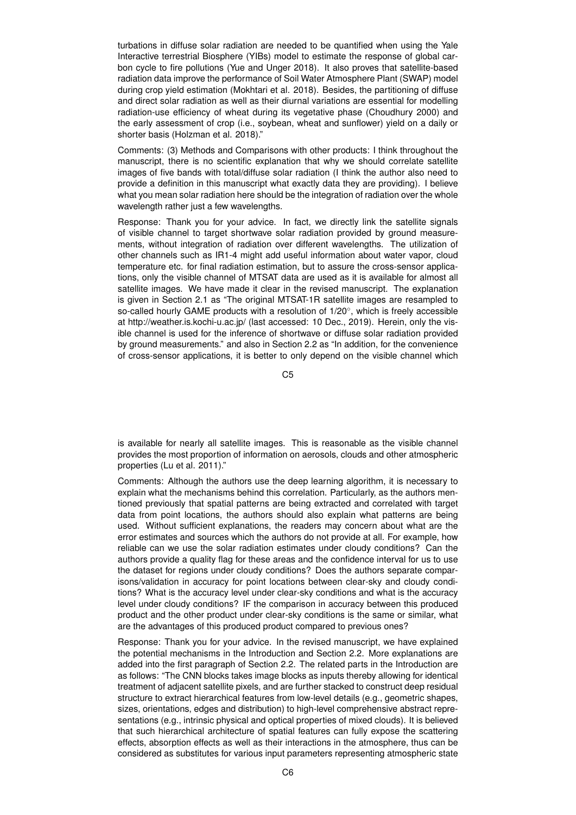turbations in diffuse solar radiation are needed to be quantified when using the Yale Interactive terrestrial Biosphere (YIBs) model to estimate the response of global carbon cycle to fire pollutions (Yue and Unger 2018). It also proves that satellite-based radiation data improve the performance of Soil Water Atmosphere Plant (SWAP) model during crop yield estimation (Mokhtari et al. 2018). Besides, the partitioning of diffuse and direct solar radiation as well as their diurnal variations are essential for modelling radiation-use efficiency of wheat during its vegetative phase (Choudhury 2000) and the early assessment of crop (i.e., soybean, wheat and sunflower) yield on a daily or shorter basis (Holzman et al. 2018)."

Comments: (3) Methods and Comparisons with other products: I think throughout the manuscript, there is no scientific explanation that why we should correlate satellite images of five bands with total/diffuse solar radiation (I think the author also need to provide a definition in this manuscript what exactly data they are providing). I believe what you mean solar radiation here should be the integration of radiation over the whole wavelength rather just a few wavelengths.

Response: Thank you for your advice. In fact, we directly link the satellite signals of visible channel to target shortwave solar radiation provided by ground measurements, without integration of radiation over different wavelengths. The utilization of other channels such as IR1-4 might add useful information about water vapor, cloud temperature etc. for final radiation estimation, but to assure the cross-sensor applications, only the visible channel of MTSAT data are used as it is available for almost all satellite images. We have made it clear in the revised manuscript. The explanation is given in Section 2.1 as "The original MTSAT-1R satellite images are resampled to so-called hourly GAME products with a resolution of 1/20◦ , which is freely accessible at http://weather.is.kochi-u.ac.jp/ (last accessed: 10 Dec., 2019). Herein, only the visible channel is used for the inference of shortwave or diffuse solar radiation provided by ground measurements." and also in Section 2.2 as "In addition, for the convenience of cross-sensor applications, it is better to only depend on the visible channel which

C5

is available for nearly all satellite images. This is reasonable as the visible channel provides the most proportion of information on aerosols, clouds and other atmospheric properties (Lu et al. 2011)."

Comments: Although the authors use the deep learning algorithm, it is necessary to explain what the mechanisms behind this correlation. Particularly, as the authors mentioned previously that spatial patterns are being extracted and correlated with target data from point locations, the authors should also explain what patterns are being used. Without sufficient explanations, the readers may concern about what are the error estimates and sources which the authors do not provide at all. For example, how reliable can we use the solar radiation estimates under cloudy conditions? Can the authors provide a quality flag for these areas and the confidence interval for us to use the dataset for regions under cloudy conditions? Does the authors separate comparisons/validation in accuracy for point locations between clear-sky and cloudy conditions? What is the accuracy level under clear-sky conditions and what is the accuracy level under cloudy conditions? IF the comparison in accuracy between this produced product and the other product under clear-sky conditions is the same or similar, what are the advantages of this produced product compared to previous ones?

Response: Thank you for your advice. In the revised manuscript, we have explained the potential mechanisms in the Introduction and Section 2.2. More explanations are added into the first paragraph of Section 2.2. The related parts in the Introduction are as follows: "The CNN blocks takes image blocks as inputs thereby allowing for identical treatment of adjacent satellite pixels, and are further stacked to construct deep residual structure to extract hierarchical features from low-level details (e.g., geometric shapes, sizes, orientations, edges and distribution) to high-level comprehensive abstract representations (e.g., intrinsic physical and optical properties of mixed clouds). It is believed that such hierarchical architecture of spatial features can fully expose the scattering effects, absorption effects as well as their interactions in the atmosphere, thus can be considered as substitutes for various input parameters representing atmospheric state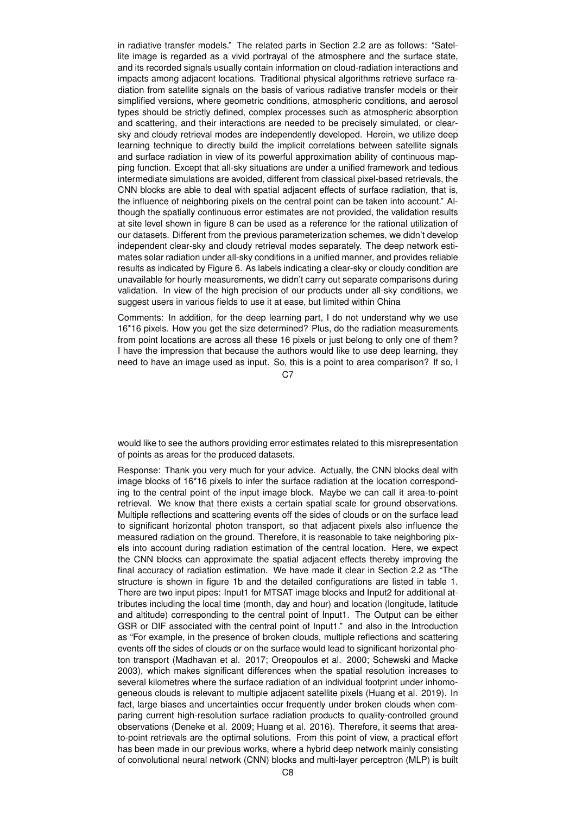in radiative transfer models." The related parts in Section 2.2 are as follows: "Satellite image is regarded as a vivid portrayal of the atmosphere and the surface state, and its recorded signals usually contain information on cloud-radiation interactions and impacts among adjacent locations. Traditional physical algorithms retrieve surface radiation from satellite signals on the basis of various radiative transfer models or their simplified versions, where geometric conditions, atmospheric conditions, and aerosol types should be strictly defined, complex processes such as atmospheric absorption and scattering, and their interactions are needed to be precisely simulated, or clearsky and cloudy retrieval modes are independently developed. Herein, we utilize deep learning technique to directly build the implicit correlations between satellite signals and surface radiation in view of its powerful approximation ability of continuous mapping function. Except that all-sky situations are under a unified framework and tedious intermediate simulations are avoided, different from classical pixel-based retrievals, the CNN blocks are able to deal with spatial adjacent effects of surface radiation, that is, the influence of neighboring pixels on the central point can be taken into account." Although the spatially continuous error estimates are not provided, the validation results at site level shown in figure 8 can be used as a reference for the rational utilization of our datasets. Different from the previous parameterization schemes, we didn't develop independent clear-sky and cloudy retrieval modes separately. The deep network estimates solar radiation under all-sky conditions in a unified manner, and provides reliable results as indicated by Figure 6. As labels indicating a clear-sky or cloudy condition are unavailable for hourly measurements, we didn't carry out separate comparisons during validation. In view of the high precision of our products under all-sky conditions, we suggest users in various fields to use it at ease, but limited within China

Comments: In addition, for the deep learning part, I do not understand why we use 16\*16 pixels. How you get the size determined? Plus, do the radiation measurements from point locations are across all these 16 pixels or just belong to only one of them? I have the impression that because the authors would like to use deep learning, they need to have an image used as input. So, this is a point to area comparison? If so, I

 $C.7$ 

would like to see the authors providing error estimates related to this misrepresentation of points as areas for the produced datasets.

Response: Thank you very much for your advice. Actually, the CNN blocks deal with image blocks of 16\*16 pixels to infer the surface radiation at the location corresponding to the central point of the input image block. Maybe we can call it area-to-point retrieval. We know that there exists a certain spatial scale for ground observations. Multiple reflections and scattering events off the sides of clouds or on the surface lead to significant horizontal photon transport, so that adjacent pixels also influence the measured radiation on the ground. Therefore, it is reasonable to take neighboring pixels into account during radiation estimation of the central location. Here, we expect the CNN blocks can approximate the spatial adjacent effects thereby improving the final accuracy of radiation estimation. We have made it clear in Section 2.2 as "The structure is shown in figure 1b and the detailed configurations are listed in table 1. There are two input pipes: Input1 for MTSAT image blocks and Input2 for additional attributes including the local time (month, day and hour) and location (longitude, latitude and altitude) corresponding to the central point of Input1. The Output can be either GSR or DIF associated with the central point of Input1." and also in the Introduction as "For example, in the presence of broken clouds, multiple reflections and scattering events off the sides of clouds or on the surface would lead to significant horizontal photon transport (Madhavan et al. 2017; Oreopoulos et al. 2000; Schewski and Macke 2003), which makes significant differences when the spatial resolution increases to several kilometres where the surface radiation of an individual footprint under inhomogeneous clouds is relevant to multiple adjacent satellite pixels (Huang et al. 2019). In fact, large biases and uncertainties occur frequently under broken clouds when comparing current high-resolution surface radiation products to quality-controlled ground observations (Deneke et al. 2009; Huang et al. 2016). Therefore, it seems that areato-point retrievals are the optimal solutions. From this point of view, a practical effort has been made in our previous works, where a hybrid deep network mainly consisting of convolutional neural network (CNN) blocks and multi-layer perceptron (MLP) is built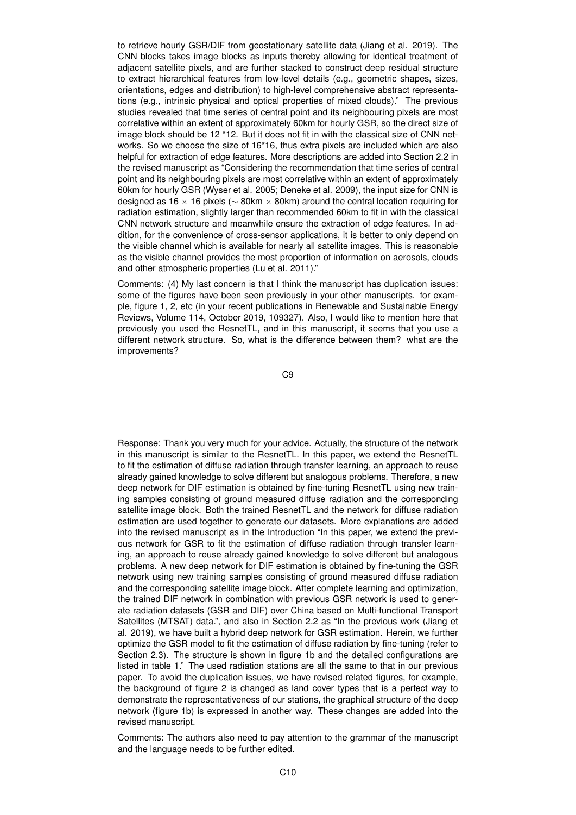to retrieve hourly GSR/DIF from geostationary satellite data (Jiang et al. 2019). The CNN blocks takes image blocks as inputs thereby allowing for identical treatment of adjacent satellite pixels, and are further stacked to construct deep residual structure to extract hierarchical features from low-level details (e.g., geometric shapes, sizes, orientations, edges and distribution) to high-level comprehensive abstract representations (e.g., intrinsic physical and optical properties of mixed clouds)." The previous studies revealed that time series of central point and its neighbouring pixels are most correlative within an extent of approximately 60km for hourly GSR, so the direct size of image block should be 12 \*12. But it does not fit in with the classical size of CNN networks. So we choose the size of 16\*16, thus extra pixels are included which are also helpful for extraction of edge features. More descriptions are added into Section 2.2 in the revised manuscript as "Considering the recommendation that time series of central point and its neighbouring pixels are most correlative within an extent of approximately 60km for hourly GSR (Wyser et al. 2005; Deneke et al. 2009), the input size for CNN is designed as 16  $\times$  16 pixels ( $\sim$  80km  $\times$  80km) around the central location requiring for radiation estimation, slightly larger than recommended 60km to fit in with the classical CNN network structure and meanwhile ensure the extraction of edge features. In addition, for the convenience of cross-sensor applications, it is better to only depend on the visible channel which is available for nearly all satellite images. This is reasonable as the visible channel provides the most proportion of information on aerosols, clouds and other atmospheric properties (Lu et al. 2011)."

Comments: (4) My last concern is that I think the manuscript has duplication issues: some of the figures have been seen previously in your other manuscripts. for example, figure 1, 2, etc (in your recent publications in Renewable and Sustainable Energy Reviews, Volume 114, October 2019, 109327). Also, I would like to mention here that previously you used the ResnetTL, and in this manuscript, it seems that you use a different network structure. So, what is the difference between them? what are the improvements?

C9

Response: Thank you very much for your advice. Actually, the structure of the network in this manuscript is similar to the ResnetTL. In this paper, we extend the ResnetTL to fit the estimation of diffuse radiation through transfer learning, an approach to reuse already gained knowledge to solve different but analogous problems. Therefore, a new deep network for DIF estimation is obtained by fine-tuning ResnetTL using new training samples consisting of ground measured diffuse radiation and the corresponding satellite image block. Both the trained ResnetTL and the network for diffuse radiation estimation are used together to generate our datasets. More explanations are added into the revised manuscript as in the Introduction "In this paper, we extend the previous network for GSR to fit the estimation of diffuse radiation through transfer learning, an approach to reuse already gained knowledge to solve different but analogous problems. A new deep network for DIF estimation is obtained by fine-tuning the GSR network using new training samples consisting of ground measured diffuse radiation and the corresponding satellite image block. After complete learning and optimization, the trained DIF network in combination with previous GSR network is used to generate radiation datasets (GSR and DIF) over China based on Multi-functional Transport Satellites (MTSAT) data.", and also in Section 2.2 as "In the previous work (Jiang et al. 2019), we have built a hybrid deep network for GSR estimation. Herein, we further optimize the GSR model to fit the estimation of diffuse radiation by fine-tuning (refer to Section 2.3). The structure is shown in figure 1b and the detailed configurations are listed in table 1." The used radiation stations are all the same to that in our previous paper. To avoid the duplication issues, we have revised related figures, for example, the background of figure 2 is changed as land cover types that is a perfect way to demonstrate the representativeness of our stations, the graphical structure of the deep network (figure 1b) is expressed in another way. These changes are added into the revised manuscript.

Comments: The authors also need to pay attention to the grammar of the manuscript and the language needs to be further edited.